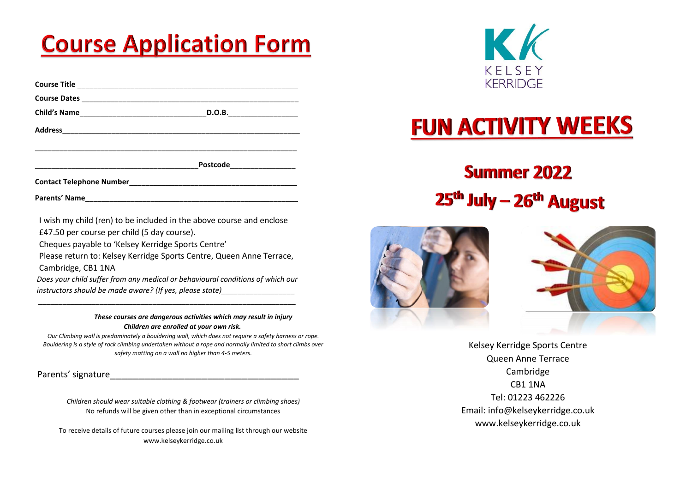# **Course Application Form**

| D.O.B.____________________ |
|----------------------------|
|                            |
| Postcode ______________    |
|                            |

**Parents' Name**\_\_\_\_\_\_\_\_\_\_\_\_\_\_\_\_\_\_\_\_\_\_\_\_\_\_\_\_\_\_\_\_\_\_\_\_\_\_\_\_\_\_\_\_\_\_\_\_\_\_\_\_

 I wish my child (ren) to be included in the above course and enclose £47.50 per course per child (5 day course).

Cheques payable to 'Kelsey Kerridge Sports Centre'

 Please return to: Kelsey Kerridge Sports Centre, Queen Anne Terrace, Cambridge, CB1 1NA

*Does your child suffer from any medical or behavioural conditions of which our instructors should be made aware? (If yes, please state)* 

 *\_\_\_\_\_\_\_\_\_\_\_\_\_\_\_\_\_\_\_\_\_\_\_\_\_\_\_\_\_\_\_\_\_\_\_\_\_\_\_\_\_\_\_\_\_\_\_\_\_\_\_\_\_\_\_\_\_\_\_\_\_\_\_*

*These courses are dangerous activities which may result in injury Children are enrolled at your own risk.*

*Our Climbing wall is predominately a bouldering wall, which does not require a safety harness or rope. Bouldering is a style of rock climbing undertaken without a rope and normally limited to short climbs over safety matting on a wall no higher than 4-5 meters.*

Parents' signature

*Children should wear suitable clothing & footwear (trainers or climbing shoes)* No refunds will be given other than in exceptional circumstances

To receive details of future courses please join our mailing list through our website www.kelseykerridge.co.uk



# **FUN ACTIVITY WEEKS**

### **Summer 2022** 25<sup>th</sup> July – 26<sup>th</sup> August





Kelsey Kerridge Sports Centre Queen Anne Terrace Cambridge CB1 1NA Tel: 01223 462226 Email: info@kelseykerridge.co.uk www.kelseykerridge.co.uk